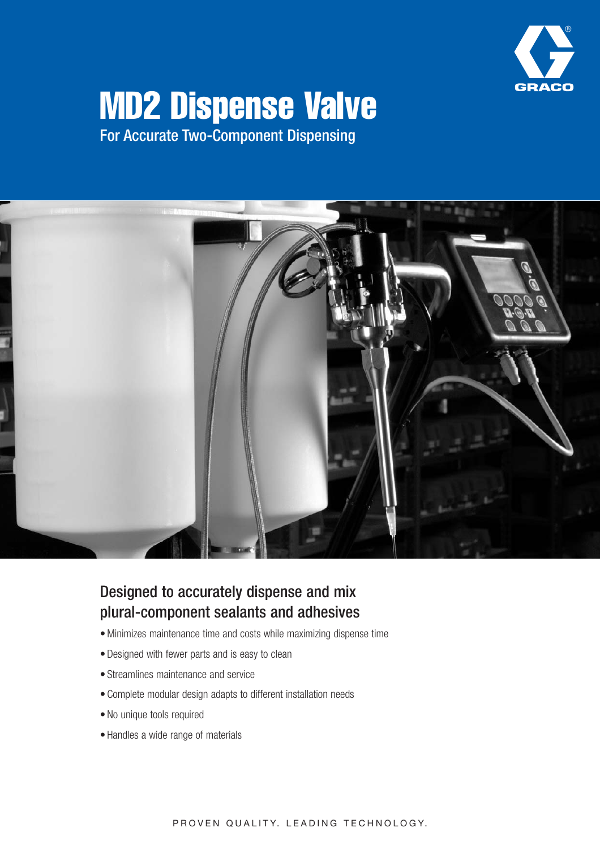

# MD2 Dispense Valve

For Accurate Two-Component Dispensing



### Designed to accurately dispense and mix plural-component sealants and adhesives

- Minimizes maintenance time and costs while maximizing dispense time
- Designed with fewer parts and is easy to clean
- Streamlines maintenance and service
- Complete modular design adapts to different installation needs
- No unique tools required
- Handles a wide range of materials